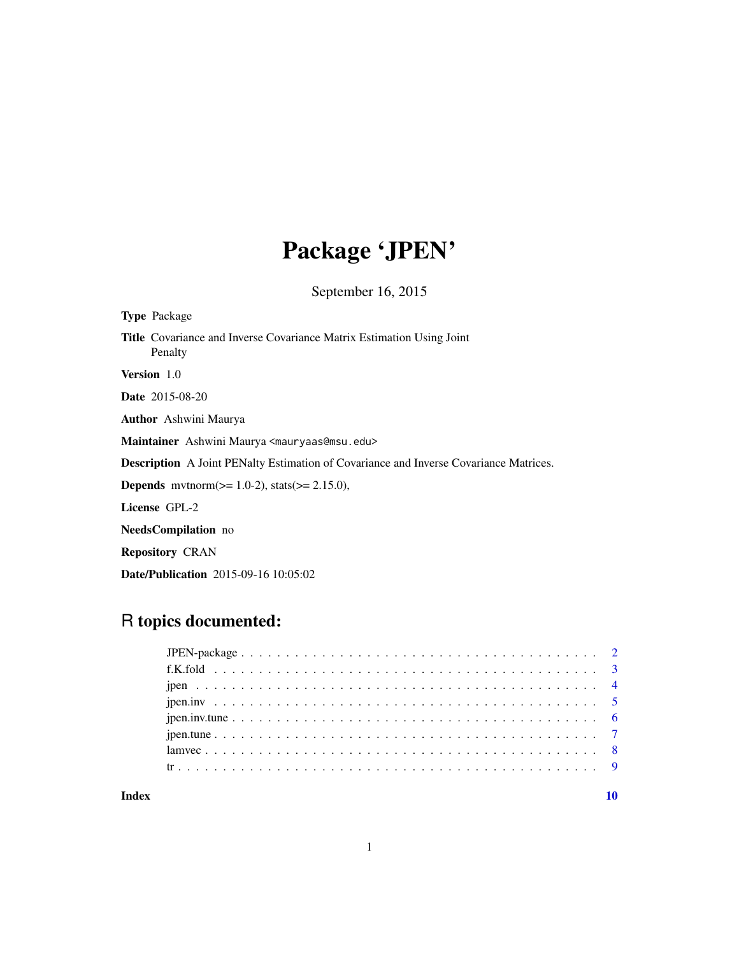## Package 'JPEN'

September 16, 2015

| <b>Type Package</b>                                                                          |
|----------------------------------------------------------------------------------------------|
| <b>Title</b> Covariance and Inverse Covariance Matrix Estimation Using Joint<br>Penalty      |
| <b>Version</b> 1.0                                                                           |
| <b>Date</b> 2015-08-20                                                                       |
| <b>Author</b> Ashwini Maurya                                                                 |
| Maintainer Ashwini Maurya <mauryaas@msu.edu></mauryaas@msu.edu>                              |
| <b>Description</b> A Joint PENalty Estimation of Covariance and Inverse Covariance Matrices. |
| <b>Depends</b> mythorm( $>= 1.0-2$ ), stats( $>= 2.15.0$ ),                                  |
| License GPL-2                                                                                |
| <b>NeedsCompilation</b> no                                                                   |
| <b>Repository CRAN</b>                                                                       |

Date/Publication 2015-09-16 10:05:02

### R topics documented:

#### $\blacksquare$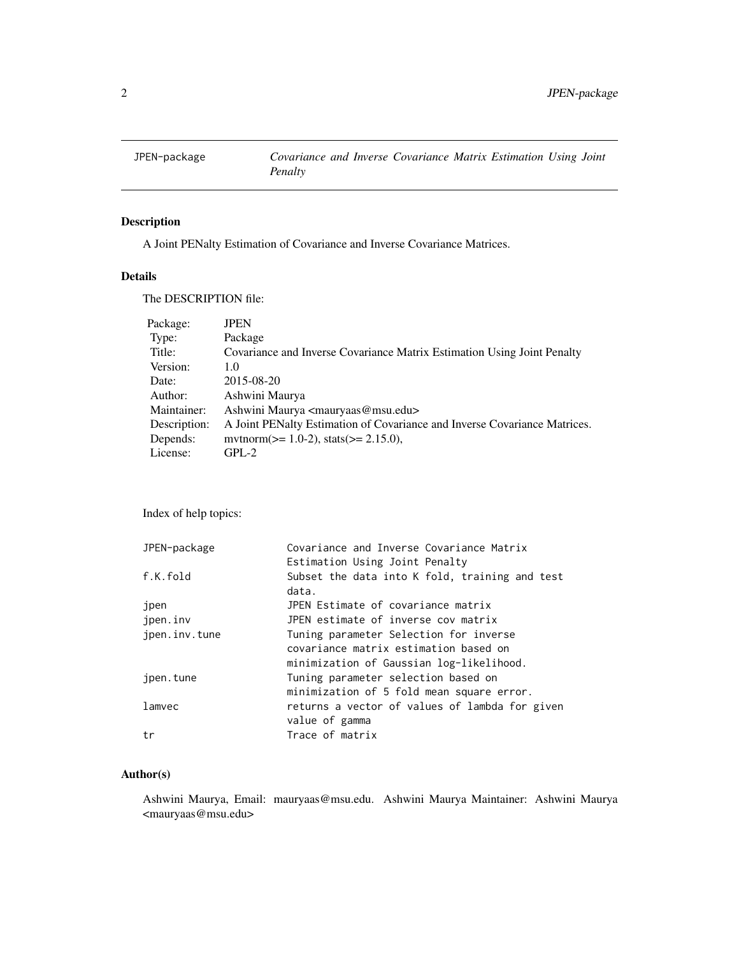<span id="page-1-0"></span>

#### Description

A Joint PENalty Estimation of Covariance and Inverse Covariance Matrices.

#### Details

The DESCRIPTION file:

| Package:     | <b>JPEN</b>                                                               |
|--------------|---------------------------------------------------------------------------|
| Type:        | Package                                                                   |
| Title:       | Covariance and Inverse Covariance Matrix Estimation Using Joint Penalty   |
| Version:     | 1.0                                                                       |
| Date:        | 2015-08-20                                                                |
| Author:      | Ashwini Maurya                                                            |
| Maintainer:  | Ashwini Maurya <mauryaas@msu.edu></mauryaas@msu.edu>                      |
| Description: | A Joint PENalty Estimation of Covariance and Inverse Covariance Matrices. |
| Depends:     | mythorm( $>= 1.0-2$ ), stats( $>= 2.15.0$ ),                              |
| License:     | $GPL-2$                                                                   |

Index of help topics:

| JPEN-package  | Covariance and Inverse Covariance Matrix       |
|---------------|------------------------------------------------|
|               | Estimation Using Joint Penalty                 |
| f.K.fold      | Subset the data into K fold, training and test |
|               | data.                                          |
| jpen          | JPEN Estimate of covariance matrix             |
| ipen.inv      | JPEN estimate of inverse cov matrix            |
| jpen.inv.tune | Tuning parameter Selection for inverse         |
|               | covariance matrix estimation based on          |
|               | minimization of Gaussian log-likelihood.       |
| jpen.tune     | Tuning parameter selection based on            |
|               | minimization of 5 fold mean square error.      |
| lamvec        | returns a vector of values of lambda for given |
|               | value of gamma                                 |
| tr            | Trace of matrix                                |
|               |                                                |

#### Author(s)

Ashwini Maurya, Email: mauryaas@msu.edu. Ashwini Maurya Maintainer: Ashwini Maurya <mauryaas@msu.edu>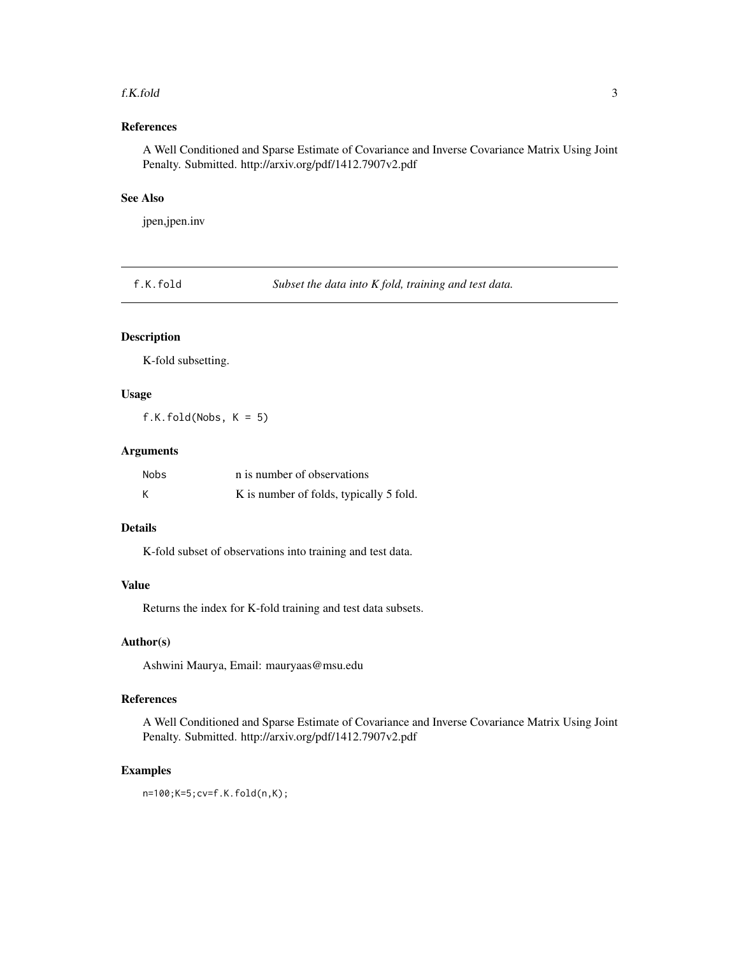#### <span id="page-2-0"></span>f.K.fold 3

#### References

A Well Conditioned and Sparse Estimate of Covariance and Inverse Covariance Matrix Using Joint Penalty. Submitted. http://arxiv.org/pdf/1412.7907v2.pdf

#### See Also

jpen,jpen.inv

f.K.fold *Subset the data into K fold, training and test data.*

#### Description

K-fold subsetting.

#### Usage

f.K.fold(Nobs, K = 5)

#### Arguments

| Nobs | n is number of observations             |
|------|-----------------------------------------|
| К    | K is number of folds, typically 5 fold. |

#### Details

K-fold subset of observations into training and test data.

#### Value

Returns the index for K-fold training and test data subsets.

#### Author(s)

Ashwini Maurya, Email: mauryaas@msu.edu

#### References

A Well Conditioned and Sparse Estimate of Covariance and Inverse Covariance Matrix Using Joint Penalty. Submitted. http://arxiv.org/pdf/1412.7907v2.pdf

#### Examples

n=100;K=5;cv=f.K.fold(n,K);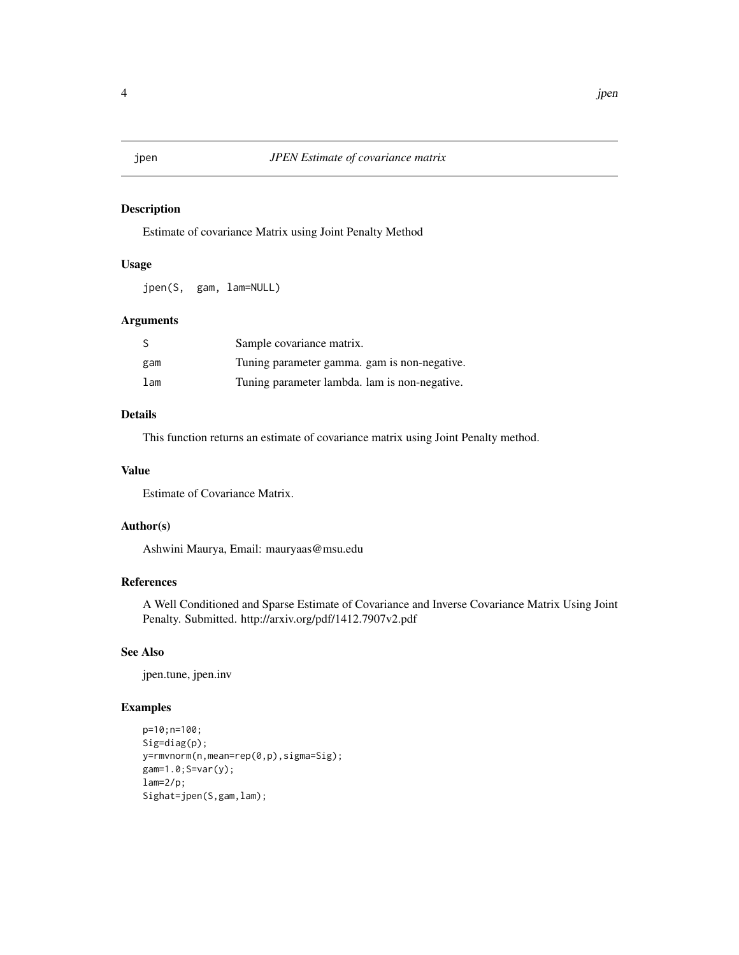<span id="page-3-0"></span>

#### Description

Estimate of covariance Matrix using Joint Penalty Method

#### Usage

jpen(S, gam, lam=NULL)

#### Arguments

| S   | Sample covariance matrix.                     |
|-----|-----------------------------------------------|
| gam | Tuning parameter gamma, gam is non-negative.  |
| lam | Tuning parameter lambda. lam is non-negative. |

#### Details

This function returns an estimate of covariance matrix using Joint Penalty method.

#### Value

Estimate of Covariance Matrix.

#### Author(s)

Ashwini Maurya, Email: mauryaas@msu.edu

#### References

A Well Conditioned and Sparse Estimate of Covariance and Inverse Covariance Matrix Using Joint Penalty. Submitted. http://arxiv.org/pdf/1412.7907v2.pdf

#### See Also

jpen.tune, jpen.inv

#### Examples

```
p=10;n=100;
Sig=diag(p);
y=rmvnorm(n,mean=rep(0,p),sigma=Sig);
gam=1.0;S=var(y);
lam=2/p;Sighat=jpen(S,gam,lam);
```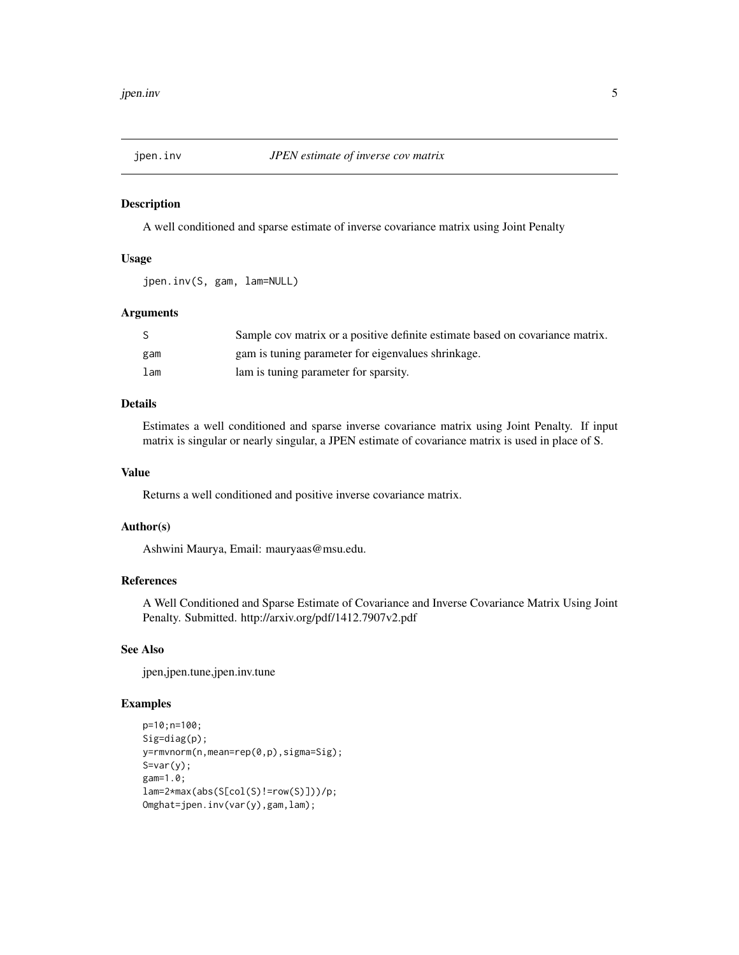<span id="page-4-0"></span>

#### Description

A well conditioned and sparse estimate of inverse covariance matrix using Joint Penalty

#### Usage

```
jpen.inv(S, gam, lam=NULL)
```
#### Arguments

|     | Sample cov matrix or a positive definite estimate based on covariance matrix. |
|-----|-------------------------------------------------------------------------------|
| gam | gam is tuning parameter for eigenvalues shrinkage.                            |
| lam | lam is tuning parameter for sparsity.                                         |

#### Details

Estimates a well conditioned and sparse inverse covariance matrix using Joint Penalty. If input matrix is singular or nearly singular, a JPEN estimate of covariance matrix is used in place of S.

#### Value

Returns a well conditioned and positive inverse covariance matrix.

#### Author(s)

Ashwini Maurya, Email: mauryaas@msu.edu.

#### References

A Well Conditioned and Sparse Estimate of Covariance and Inverse Covariance Matrix Using Joint Penalty. Submitted. http://arxiv.org/pdf/1412.7907v2.pdf

#### See Also

jpen,jpen.tune,jpen.inv.tune

#### Examples

```
p=10;n=100;
Sig=diag(p);
y=rmvnorm(n,mean=rep(0,p),sigma=Sig);
S=var(y);gam=1.0;
lam=2*max(abs(S[col(S)!=row(S)]))/p;
Omghat=jpen.inv(var(y),gam,lam);
```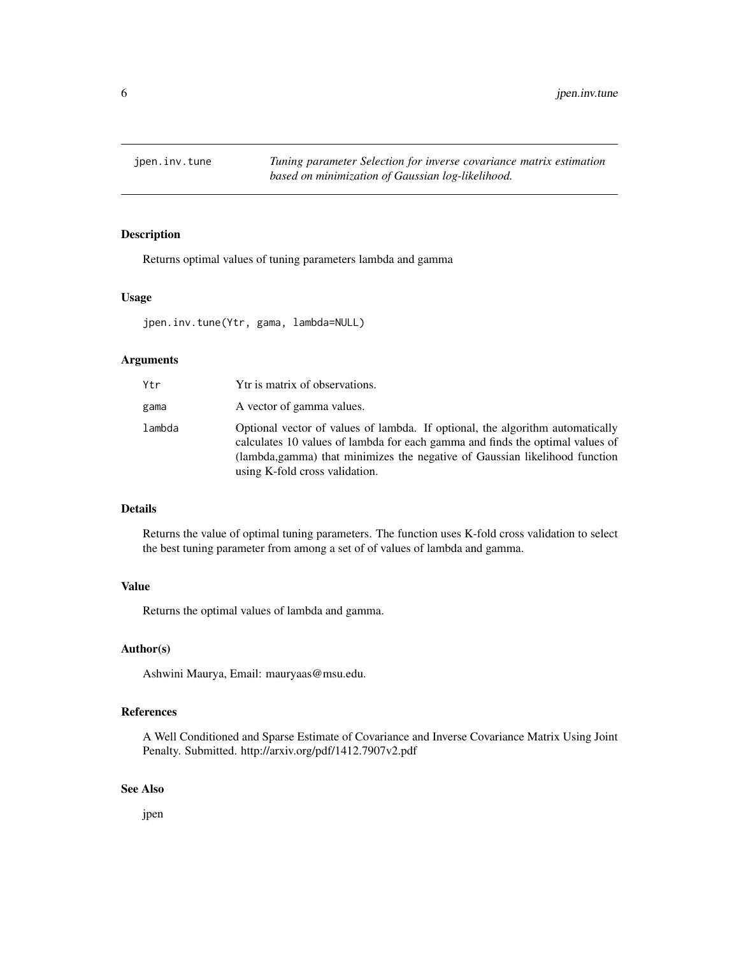<span id="page-5-0"></span>jpen.inv.tune *Tuning parameter Selection for inverse covariance matrix estimation based on minimization of Gaussian log-likelihood.*

#### Description

Returns optimal values of tuning parameters lambda and gamma

#### Usage

jpen.inv.tune(Ytr, gama, lambda=NULL)

#### Arguments

| Ytr    | Ytr is matrix of observations.                                                                                                                                                                                                                                                  |
|--------|---------------------------------------------------------------------------------------------------------------------------------------------------------------------------------------------------------------------------------------------------------------------------------|
| gama   | A vector of gamma values.                                                                                                                                                                                                                                                       |
| lambda | Optional vector of values of lambda. If optional, the algorithm automatically<br>calculates 10 values of lambda for each gamma and finds the optimal values of<br>(lambda, gamma) that minimizes the negative of Gaussian likelihood function<br>using K-fold cross validation. |

#### Details

Returns the value of optimal tuning parameters. The function uses K-fold cross validation to select the best tuning parameter from among a set of of values of lambda and gamma.

#### Value

Returns the optimal values of lambda and gamma.

#### Author(s)

Ashwini Maurya, Email: mauryaas@msu.edu.

#### References

A Well Conditioned and Sparse Estimate of Covariance and Inverse Covariance Matrix Using Joint Penalty. Submitted. http://arxiv.org/pdf/1412.7907v2.pdf

#### See Also

jpen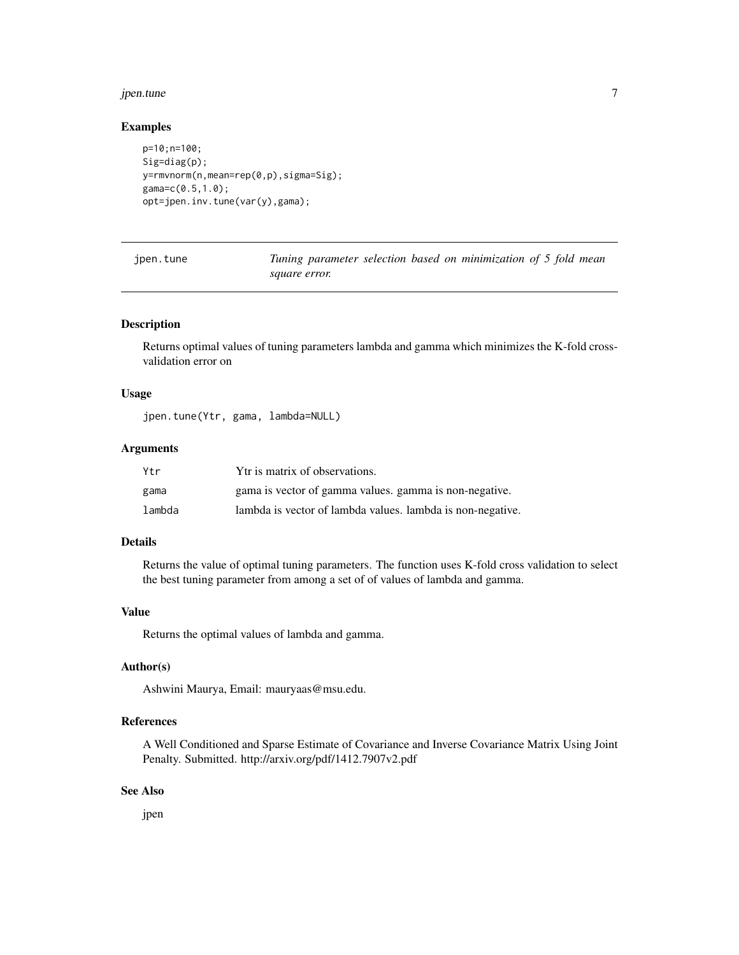#### <span id="page-6-0"></span>jpen.tune 7

#### Examples

```
p=10;n=100;
Sig=diag(p);
y=rmvnorm(n,mean=rep(0,p),sigma=Sig);
gama=c(0.5,1.0);
opt=jpen.inv.tune(var(y),gama);
```
Tuning parameter selection based on minimization of 5 fold mean *square error.*

#### Description

Returns optimal values of tuning parameters lambda and gamma which minimizes the K-fold crossvalidation error on

#### Usage

jpen.tune(Ytr, gama, lambda=NULL)

#### Arguments

| Ytr    | Ytr is matrix of observations.                             |
|--------|------------------------------------------------------------|
| gama   | gama is vector of gamma values, gamma is non-negative.     |
| lambda | lambda is vector of lambda values. lambda is non-negative. |

#### Details

Returns the value of optimal tuning parameters. The function uses K-fold cross validation to select the best tuning parameter from among a set of of values of lambda and gamma.

#### Value

Returns the optimal values of lambda and gamma.

#### Author(s)

Ashwini Maurya, Email: mauryaas@msu.edu.

#### References

A Well Conditioned and Sparse Estimate of Covariance and Inverse Covariance Matrix Using Joint Penalty. Submitted. http://arxiv.org/pdf/1412.7907v2.pdf

#### See Also

jpen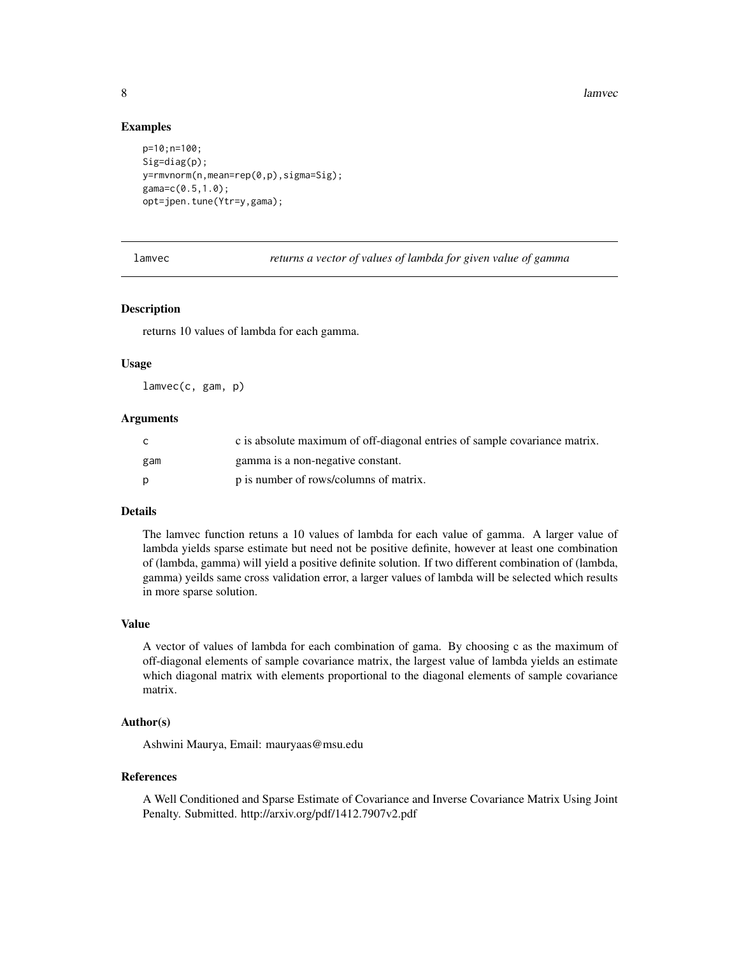<span id="page-7-0"></span>8 lamvec and the state of the state of the state of the state of the state of the state of the state of the state of the state of the state of the state of the state of the state of the state of the state of the state of t

#### Examples

```
p=10;n=100;
Sig=diag(p);
y=rmvnorm(n,mean=rep(0,p),sigma=Sig);
gama=c(0.5,1.0);
opt=jpen.tune(Ytr=y,gama);
```
lamvec *returns a vector of values of lambda for given value of gamma*

#### Description

returns 10 values of lambda for each gamma.

#### Usage

lamvec(c, gam, p)

#### Arguments

| C.  | c is absolute maximum of off-diagonal entries of sample covariance matrix. |
|-----|----------------------------------------------------------------------------|
| gam | gamma is a non-negative constant.                                          |
| D   | p is number of rows/columns of matrix.                                     |

#### Details

The lamvec function retuns a 10 values of lambda for each value of gamma. A larger value of lambda yields sparse estimate but need not be positive definite, however at least one combination of (lambda, gamma) will yield a positive definite solution. If two different combination of (lambda, gamma) yeilds same cross validation error, a larger values of lambda will be selected which results in more sparse solution.

#### Value

A vector of values of lambda for each combination of gama. By choosing c as the maximum of off-diagonal elements of sample covariance matrix, the largest value of lambda yields an estimate which diagonal matrix with elements proportional to the diagonal elements of sample covariance matrix.

#### Author(s)

Ashwini Maurya, Email: mauryaas@msu.edu

#### References

A Well Conditioned and Sparse Estimate of Covariance and Inverse Covariance Matrix Using Joint Penalty. Submitted. http://arxiv.org/pdf/1412.7907v2.pdf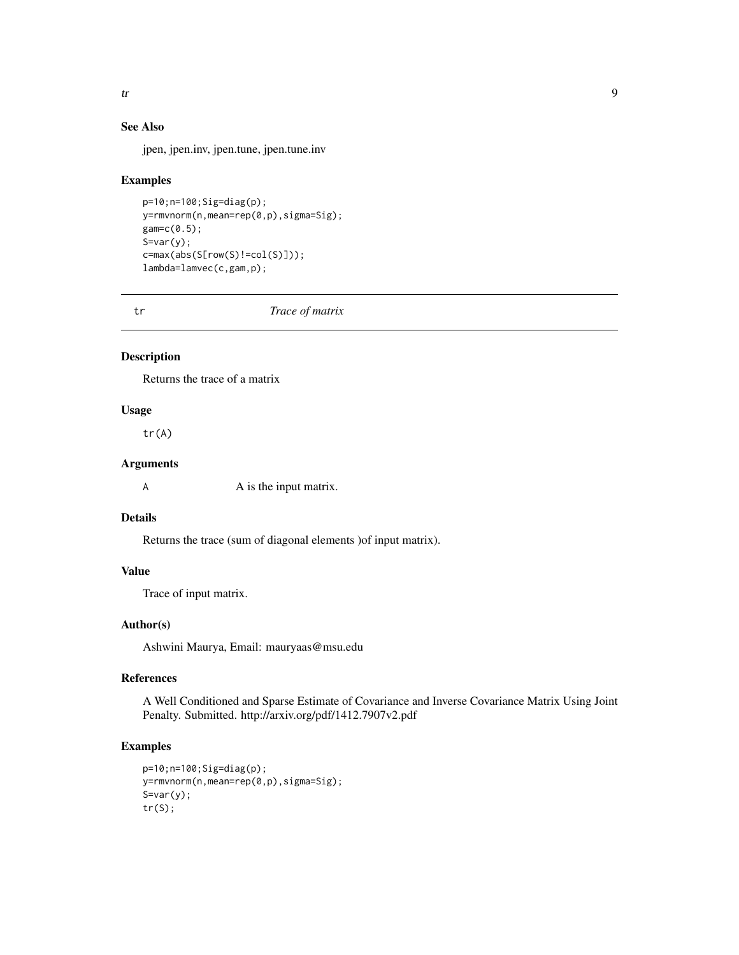### See Also

jpen, jpen.inv, jpen.tune, jpen.tune.inv

#### Examples

```
p=10;n=100;Sig=diag(p);
y=rmvnorm(n,mean=rep(0,p),sigma=Sig);
gam=c(0.5);
S=var(y);c=max(abs(S[row(S)!=col(S)]));
lambda=lamvec(c,gam,p);
```
tr *Trace of matrix*

#### Description

Returns the trace of a matrix

#### Usage

tr(A)

#### Arguments

A is the input matrix.

#### Details

Returns the trace (sum of diagonal elements )of input matrix).

#### Value

Trace of input matrix.

#### Author(s)

Ashwini Maurya, Email: mauryaas@msu.edu

#### References

A Well Conditioned and Sparse Estimate of Covariance and Inverse Covariance Matrix Using Joint Penalty. Submitted. http://arxiv.org/pdf/1412.7907v2.pdf

#### Examples

```
p=10;n=100;Sig=diag(p);
y=rmvnorm(n,mean=rep(0,p),sigma=Sig);
S=var(y);tr(S);
```
<span id="page-8-0"></span>